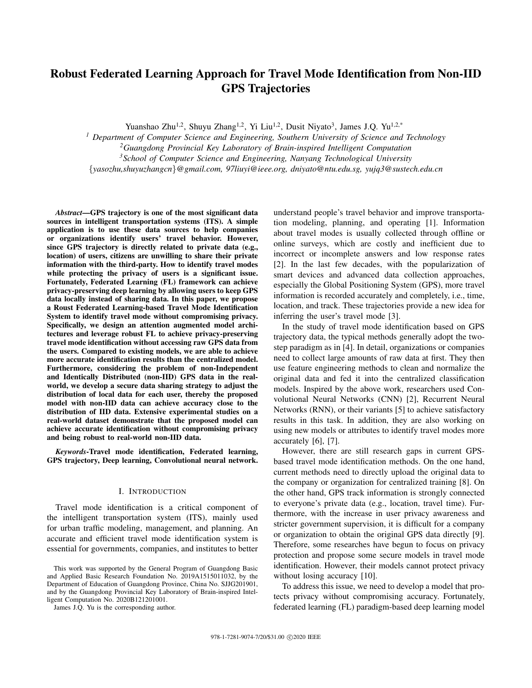# Robust Federated Learning Approach for Travel Mode Identification from Non-IID GPS Trajectories

Yuanshao Zhu<sup>1,2</sup>, Shuyu Zhang<sup>1,2</sup>, Yi Liu<sup>1,2</sup>, Dusit Niyato<sup>3</sup>, James J.Q. Yu<sup>1,2,\*</sup>

 *Department of Computer Science and Engineering, Southern University of Science and Technology Guangdong Provincial Key Laboratory of Brain-inspired Intelligent Computation School of Computer Science and Engineering, Nanyang Technological University* {*yasozhu,shuyuzhangcn*}*@gmail.com, 97liuyi@ieee.org, dniyato@ntu.edu.sg, yujq3@sustech.edu.cn*

*Abstract*—GPS trajectory is one of the most significant data sources in intelligent transportation systems (ITS). A simple application is to use these data sources to help companies or organizations identify users' travel behavior. However, since GPS trajectory is directly related to private data (e.g., location) of users, citizens are unwilling to share their private information with the third-party. How to identify travel modes while protecting the privacy of users is a significant issue. Fortunately, Federated Learning (FL) framework can achieve privacy-preserving deep learning by allowing users to keep GPS data locally instead of sharing data. In this paper, we propose a Roust Federated Learning-based Travel Mode Identification System to identify travel mode without compromising privacy. Specifically, we design an attention augmented model architectures and leverage robust FL to achieve privacy-preserving travel mode identification without accessing raw GPS data from the users. Compared to existing models, we are able to achieve more accurate identification results than the centralized model. Furthermore, considering the problem of non-Independent and Identically Distributed (non-IID) GPS data in the realworld, we develop a secure data sharing strategy to adjust the distribution of local data for each user, thereby the proposed model with non-IID data can achieve accuracy close to the distribution of IID data. Extensive experimental studies on a real-world dataset demonstrate that the proposed model can achieve accurate identification without compromising privacy and being robust to real-world non-IID data.

*Keywords*-Travel mode identification, Federated learning, GPS trajectory, Deep learning, Convolutional neural network.

### I. INTRODUCTION

Travel mode identification is a critical component of the intelligent transportation system (ITS), mainly used for urban traffic modeling, management, and planning. An accurate and efficient travel mode identification system is essential for governments, companies, and institutes to better

James J.Q. Yu is the corresponding author.

understand people's travel behavior and improve transportation modeling, planning, and operating [1]. Information about travel modes is usually collected through offline or online surveys, which are costly and inefficient due to incorrect or incomplete answers and low response rates [2]. In the last few decades, with the popularization of smart devices and advanced data collection approaches, especially the Global Positioning System (GPS), more travel information is recorded accurately and completely, i.e., time, location, and track. These trajectories provide a new idea for inferring the user's travel mode [3].

In the study of travel mode identification based on GPS trajectory data, the typical methods generally adopt the twostep paradigm as in [4]. In detail, organizations or companies need to collect large amounts of raw data at first. They then use feature engineering methods to clean and normalize the original data and fed it into the centralized classification models. Inspired by the above work, researchers used Convolutional Neural Networks (CNN) [2], Recurrent Neural Networks (RNN), or their variants [5] to achieve satisfactory results in this task. In addition, they are also working on using new models or attributes to identify travel modes more accurately [6], [7].

However, there are still research gaps in current GPSbased travel mode identification methods. On the one hand, current methods need to directly upload the original data to the company or organization for centralized training [8]. On the other hand, GPS track information is strongly connected to everyone's private data (e.g., location, travel time). Furthermore, with the increase in user privacy awareness and stricter government supervision, it is difficult for a company or organization to obtain the original GPS data directly [9]. Therefore, some researches have begun to focus on privacy protection and propose some secure models in travel mode identification. However, their models cannot protect privacy without losing accuracy [10].

To address this issue, we need to develop a model that protects privacy without compromising accuracy. Fortunately, federated learning (FL) paradigm-based deep learning model

This work was supported by the General Program of Guangdong Basic and Applied Basic Research Foundation No. 2019A1515011032, by the Department of Education of Guangdong Province, China No. SJJG201901, and by the Guangdong Provincial Key Laboratory of Brain-inspired Intelligent Computation No. 2020B121201001.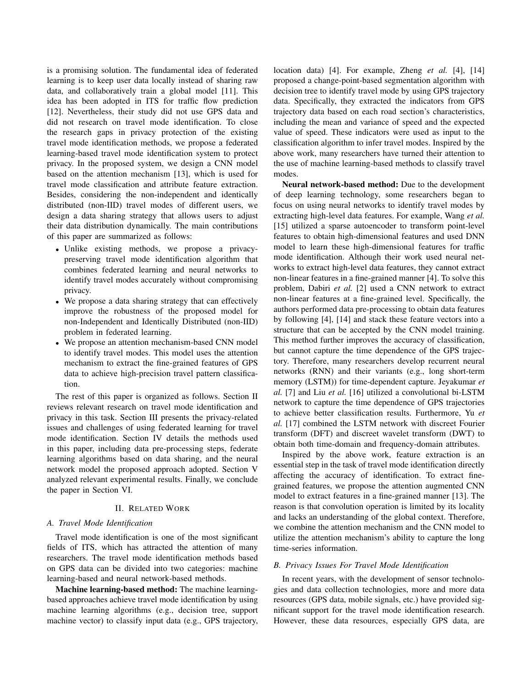is a promising solution. The fundamental idea of federated learning is to keep user data locally instead of sharing raw data, and collaboratively train a global model [11]. This idea has been adopted in ITS for traffic flow prediction [12]. Nevertheless, their study did not use GPS data and did not research on travel mode identification. To close the research gaps in privacy protection of the existing travel mode identification methods, we propose a federated learning-based travel mode identification system to protect privacy. In the proposed system, we design a CNN model based on the attention mechanism [13], which is used for travel mode classification and attribute feature extraction. Besides, considering the non-independent and identically distributed (non-IID) travel modes of different users, we design a data sharing strategy that allows users to adjust their data distribution dynamically. The main contributions of this paper are summarized as follows:

- Unlike existing methods, we propose a privacypreserving travel mode identification algorithm that combines federated learning and neural networks to identify travel modes accurately without compromising privacy.
- We propose a data sharing strategy that can effectively improve the robustness of the proposed model for non-Independent and Identically Distributed (non-IID) problem in federated learning.
- We propose an attention mechanism-based CNN model to identify travel modes. This model uses the attention mechanism to extract the fine-grained features of GPS data to achieve high-precision travel pattern classification.

The rest of this paper is organized as follows. Section II reviews relevant research on travel mode identification and privacy in this task. Section III presents the privacy-related issues and challenges of using federated learning for travel mode identification. Section IV details the methods used in this paper, including data pre-processing steps, federate learning algorithms based on data sharing, and the neural network model the proposed approach adopted. Section V analyzed relevant experimental results. Finally, we conclude the paper in Section VI.

#### II. RELATED WORK

### *A. Travel Mode Identification*

Travel mode identification is one of the most significant fields of ITS, which has attracted the attention of many researchers. The travel mode identification methods based on GPS data can be divided into two categories: machine learning-based and neural network-based methods.

Machine learning-based method: The machine learningbased approaches achieve travel mode identification by using machine learning algorithms (e.g., decision tree, support machine vector) to classify input data (e.g., GPS trajectory, location data) [4]. For example, Zheng *et al.* [4], [14] proposed a change-point-based segmentation algorithm with decision tree to identify travel mode by using GPS trajectory data. Specifically, they extracted the indicators from GPS trajectory data based on each road section's characteristics, including the mean and variance of speed and the expected value of speed. These indicators were used as input to the classification algorithm to infer travel modes. Inspired by the above work, many researchers have turned their attention to the use of machine learning-based methods to classify travel modes.

Neural network-based method: Due to the development of deep learning technology, some researchers began to focus on using neural networks to identify travel modes by extracting high-level data features. For example, Wang *et al.* [15] utilized a sparse autoencoder to transform point-level features to obtain high-dimensional features and used DNN model to learn these high-dimensional features for traffic mode identification. Although their work used neural networks to extract high-level data features, they cannot extract non-linear features in a fine-grained manner [4]. To solve this problem, Dabiri *et al.* [2] used a CNN network to extract non-linear features at a fine-grained level. Specifically, the authors performed data pre-processing to obtain data features by following [4], [14] and stack these feature vectors into a structure that can be accepted by the CNN model training. This method further improves the accuracy of classification, but cannot capture the time dependence of the GPS trajectory. Therefore, many researchers develop recurrent neural networks (RNN) and their variants (e.g., long short-term memory (LSTM)) for time-dependent capture. Jeyakumar *et al.* [7] and Liu *et al.* [16] utilized a convolutional bi-LSTM network to capture the time dependence of GPS trajectories to achieve better classification results. Furthermore, Yu *et al.* [17] combined the LSTM network with discreet Fourier transform (DFT) and discreet wavelet transform (DWT) to obtain both time-domain and frequency-domain attributes.

Inspired by the above work, feature extraction is an essential step in the task of travel mode identification directly affecting the accuracy of identification. To extract finegrained features, we propose the attention augmented CNN model to extract features in a fine-grained manner [13]. The reason is that convolution operation is limited by its locality and lacks an understanding of the global context. Therefore, we combine the attention mechanism and the CNN model to utilize the attention mechanism's ability to capture the long time-series information.

# *B. Privacy Issues For Travel Mode Identification*

In recent years, with the development of sensor technologies and data collection technologies, more and more data resources (GPS data, mobile signals, etc.) have provided significant support for the travel mode identification research. However, these data resources, especially GPS data, are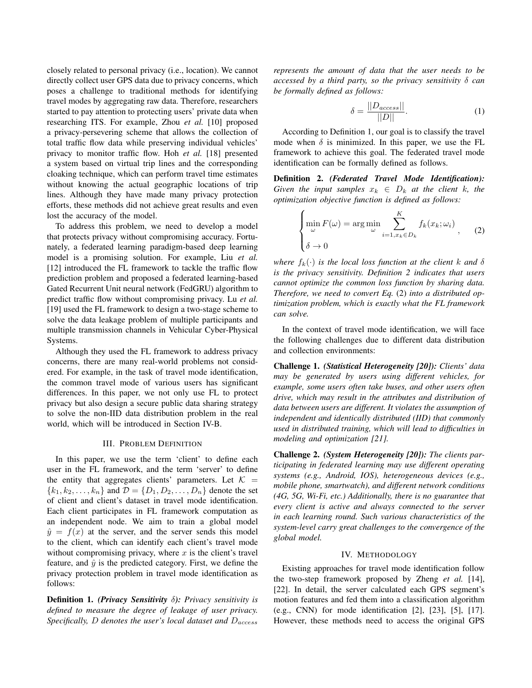closely related to personal privacy (i.e., location). We cannot directly collect user GPS data due to privacy concerns, which poses a challenge to traditional methods for identifying travel modes by aggregating raw data. Therefore, researchers started to pay attention to protecting users' private data when researching ITS. For example, Zhou *et al.* [10] proposed a privacy-persevering scheme that allows the collection of total traffic flow data while preserving individual vehicles' privacy to monitor traffic flow. Hoh *et al.* [18] presented a system based on virtual trip lines and the corresponding cloaking technique, which can perform travel time estimates without knowing the actual geographic locations of trip lines. Although they have made many privacy protection efforts, these methods did not achieve great results and even lost the accuracy of the model.

To address this problem, we need to develop a model that protects privacy without compromising accuracy. Fortunately, a federated learning paradigm-based deep learning model is a promising solution. For example, Liu *et al.* [12] introduced the FL framework to tackle the traffic flow prediction problem and proposed a federated learning-based Gated Recurrent Unit neural network (FedGRU) algorithm to predict traffic flow without compromising privacy. Lu *et al.* [19] used the FL framework to design a two-stage scheme to solve the data leakage problem of multiple participants and multiple transmission channels in Vehicular Cyber-Physical Systems.

Although they used the FL framework to address privacy concerns, there are many real-world problems not considered. For example, in the task of travel mode identification, the common travel mode of various users has significant differences. In this paper, we not only use FL to protect privacy but also design a secure public data sharing strategy to solve the non-IID data distribution problem in the real world, which will be introduced in Section IV-B.

#### III. PROBLEM DEFINITION

In this paper, we use the term 'client' to define each user in the FL framework, and the term 'server' to define the entity that aggregates clients' parameters. Let  $K =$  ${k_1, k_2, \ldots, k_n}$  and  $\mathcal{D} = \{D_1, D_2, \ldots, D_n\}$  denote the set of client and client's dataset in travel mode identification. Each client participates in FL framework computation as an independent node. We aim to train a global model  $\hat{y} = f(x)$  at the server, and the server sends this model to the client, which can identify each client's travel mode without compromising privacy, where  $x$  is the client's travel feature, and  $\hat{y}$  is the predicted category. First, we define the privacy protection problem in travel mode identification as follows:

Definition 1. *(Privacy Sensitivity* δ*): Privacy sensitivity is defined to measure the degree of leakage of user privacy. Specifically,* D *denotes the user's local dataset and* Daccess

*represents the amount of data that the user needs to be accessed by a third party, so the privacy sensitivity* δ *can be formally defined as follows:*

$$
\delta = \frac{||D_{access}||}{||D||}.\tag{1}
$$

According to Definition 1, our goal is to classify the travel mode when  $\delta$  is minimized. In this paper, we use the FL framework to achieve this goal. The federated travel mode identification can be formally defined as follows.

Definition 2. *(Federated Travel Mode Identification): Given the input samples*  $x_k \in D_k$  *at the client k, the optimization objective function is defined as follows:*

$$
\begin{cases}\n\min_{\omega} F(\omega) = \arg \min_{\omega} \sum_{i=1, x_k \in D_k}^{K} f_k(x_k; \omega_i) \\
\delta \to 0\n\end{cases}
$$
\n(2)

*where*  $f_k(\cdot)$  *is the local loss function at the client k and*  $\delta$ *is the privacy sensitivity. Definition 2 indicates that users cannot optimize the common loss function by sharing data. Therefore, we need to convert Eq.* (2) *into a distributed optimization problem, which is exactly what the FL framework can solve.*

In the context of travel mode identification, we will face the following challenges due to different data distribution and collection environments:

Challenge 1. *(Statistical Heterogeneity [20]): Clients' data may be generated by users using different vehicles, for example, some users often take buses, and other users often drive, which may result in the attributes and distribution of data between users are different. It violates the assumption of independent and identically distributed (IID) that commonly used in distributed training, which will lead to difficulties in modeling and optimization [21].*

Challenge 2. *(System Heterogeneity [20]): The clients participating in federated learning may use different operating systems (e.g., Android, IOS), heterogeneous devices (e.g., mobile phone, smartwatch), and different network conditions (4G, 5G, Wi-Fi, etc.) Additionally, there is no guarantee that every client is active and always connected to the server in each learning round. Such various characteristics of the system-level carry great challenges to the convergence of the global model.*

### IV. METHODOLOGY

Existing approaches for travel mode identification follow the two-step framework proposed by Zheng *et al.* [14], [22]. In detail, the server calculated each GPS segment's motion features and fed them into a classification algorithm (e.g., CNN) for mode identification [2], [23], [5], [17]. However, these methods need to access the original GPS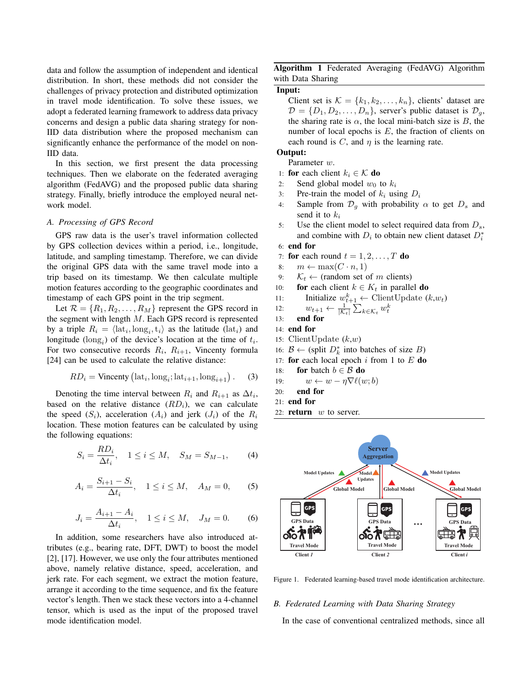data and follow the assumption of independent and identical distribution. In short, these methods did not consider the challenges of privacy protection and distributed optimization in travel mode identification. To solve these issues, we adopt a federated learning framework to address data privacy concerns and design a public data sharing strategy for non-IID data distribution where the proposed mechanism can significantly enhance the performance of the model on non-IID data.

In this section, we first present the data processing techniques. Then we elaborate on the federated averaging algorithm (FedAVG) and the proposed public data sharing strategy. Finally, briefly introduce the employed neural network model.

#### *A. Processing of GPS Record*

GPS raw data is the user's travel information collected by GPS collection devices within a period, i.e., longitude, latitude, and sampling timestamp. Therefore, we can divide the original GPS data with the same travel mode into a trip based on its timestamp. We then calculate multiple motion features according to the geographic coordinates and timestamp of each GPS point in the trip segment.

Let  $\mathcal{R} = \{R_1, R_2, \ldots, R_M\}$  represent the GPS record in the segment with length M. Each GPS record is represented by a triple  $R_i = \langle \text{lat}_i, \text{long}_i, t_i \rangle$  as the latitude  $(\text{lat}_i)$  and longitude ( $\text{long}_i$ ) of the device's location at the time of  $t_i$ . For two consecutive records  $R_i$ ,  $R_{i+1}$ , Vincenty formula [24] can be used to calculate the relative distance:

$$
RD_i = \text{Vincenty} \left( \text{lat}_i, \text{long}_i; \text{lat}_{i+1}, \text{long}_{i+1} \right). \tag{3}
$$

Denoting the time interval between  $R_i$  and  $R_{i+1}$  as  $\Delta t_i$ , based on the relative distance  $(RD_i)$ , we can calculate the speed  $(S_i)$ , acceleration  $(A_i)$  and jerk  $(J_i)$  of the  $R_i$ location. These motion features can be calculated by using the following equations:

$$
S_i = \frac{RD_i}{\Delta t_i}, \quad 1 \le i \le M, \quad S_M = S_{M-1}, \tag{4}
$$

$$
A_i = \frac{S_{i+1} - S_i}{\Delta t_i}, \quad 1 \le i \le M, \quad A_M = 0,
$$
 (5)

$$
J_i = \frac{A_{i+1} - A_i}{\Delta t_i}, \quad 1 \le i \le M, \quad J_M = 0. \tag{6}
$$

In addition, some researchers have also introduced attributes (e.g., bearing rate, DFT, DWT) to boost the model [2], [17]. However, we use only the four attributes mentioned above, namely relative distance, speed, acceleration, and jerk rate. For each segment, we extract the motion feature, arrange it according to the time sequence, and fix the feature vector's length. Then we stack these vectors into a 4-channel tensor, which is used as the input of the proposed travel mode identification model.

Algorithm 1 Federated Averaging (FedAVG) Algorithm with Data Sharing

# Input:

Client set is  $\mathcal{K} = \{k_1, k_2, \ldots, k_n\}$ , clients' dataset are  $\mathcal{D} = \{D_1, D_2, \ldots, D_n\}$ , server's public dataset is  $\mathcal{D}_q$ , the sharing rate is  $\alpha$ , the local mini-batch size is B, the number of local epochs is  $E$ , the fraction of clients on each round is  $C$ , and  $\eta$  is the learning rate.

# Output:

Parameter w.

- 1: for each client  $k_i \in \mathcal{K}$  do
- 2: Send global model  $w_0$  to  $k_i$
- 3: Pre-train the model of  $k_i$  using  $D_i$
- 4: Sample from  $\mathcal{D}_q$  with probability  $\alpha$  to get  $D_s$  and send it to  $k_i$
- 5: Use the client model to select required data from  $D_s$ , and combine with  $D_i$  to obtain new client dataset  $D_i^*$

## 6: end for

- 7: for each round  $t = 1, 2, \ldots, T$  do
- 8:  $m \leftarrow \max(C \cdot n, 1)$
- 9:  $\mathcal{K}_t \leftarrow$  (random set of m clients)
- 10: **for** each client  $k \in K_t$  in parallel **do**
- 11: Initialize  $w_{t+1}^k \leftarrow \text{ClientUpdate}(k, w_t)$
- 12:  $w_{t+1} \leftarrow \frac{1}{|\mathcal{K}_t|} \sum_{k \in \mathcal{K}_t} w_t^k$
- 13: end for
- 14: end for
- 15: ClientUpdate  $(k, w)$
- 16: *B* ← (split  $D_k^*$  into batches of size *B*)
- 17: for each local epoch  $i$  from 1 to  $E$  do
- 18: **for** batch  $b \in \mathcal{B}$  **do**
- 19:  $w \leftarrow w \eta \nabla \ell(w; b)$
- 20: end for
- 21: end for
- 22: return  $w$  to server.



Figure 1. Federated learning-based travel mode identification architecture.

## *B. Federated Learning with Data Sharing Strategy*

In the case of conventional centralized methods, since all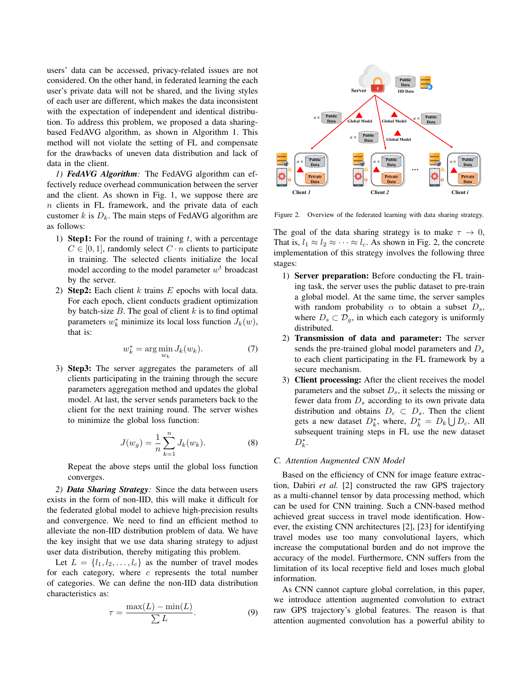users' data can be accessed, privacy-related issues are not considered. On the other hand, in federated learning the each user's private data will not be shared, and the living styles of each user are different, which makes the data inconsistent with the expectation of independent and identical distribution. To address this problem, we proposed a data sharingbased FedAVG algorithm, as shown in Algorithm 1. This method will not violate the setting of FL and compensate for the drawbacks of uneven data distribution and lack of data in the client.

*1) FedAVG Algorithm:* The FedAVG algorithm can effectively reduce overhead communication between the server and the client. As shown in Fig. 1, we suppose there are  $n$  clients in FL framework, and the private data of each customer k is  $D_k$ . The main steps of FedAVG algorithm are as follows:

- 1) Step1: For the round of training  $t$ , with a percentage  $C \in [0, 1]$ , randomly select  $C \cdot n$  clients to participate in training. The selected clients initialize the local model according to the model parameter  $w<sup>t</sup>$  broadcast by the server.
- 2) Step2: Each client  $k$  trains  $E$  epochs with local data. For each epoch, client conducts gradient optimization by batch-size  $B$ . The goal of client  $k$  is to find optimal parameters  $w_k^*$  minimize its local loss function  $J_k(w)$ , that is:

$$
w_k^* = \arg\min_{w_k} J_k(w_k). \tag{7}
$$

3) Step3: The server aggregates the parameters of all clients participating in the training through the secure parameters aggregation method and updates the global model. At last, the server sends parameters back to the client for the next training round. The server wishes to minimize the global loss function:

$$
J(w_g) = \frac{1}{n} \sum_{k=1}^{n} J_k(w_k).
$$
 (8)

Repeat the above steps until the global loss function converges.

*2) Data Sharing Strategy:* Since the data between users exists in the form of non-IID, this will make it difficult for the federated global model to achieve high-precision results and convergence. We need to find an efficient method to alleviate the non-IID distribution problem of data. We have the key insight that we use data sharing strategy to adjust user data distribution, thereby mitigating this problem.

Let  $L = \{l_1, l_2, \ldots, l_c\}$  as the number of travel modes for each category, where  $c$  represents the total number of categories. We can define the non-IID data distribution characteristics as:

$$
\tau = \frac{\max(L) - \min(L)}{\sum L}.
$$
\n(9)



Figure 2. Overview of the federated learning with data sharing strategy.

The goal of the data sharing strategy is to make  $\tau \to 0$ , That is,  $l_1 \approx l_2 \approx \cdots \approx l_c$ . As shown in Fig. 2, the concrete implementation of this strategy involves the following three stages:

- 1) Server preparation: Before conducting the FL training task, the server uses the public dataset to pre-train a global model. At the same time, the server samples with random probability  $\alpha$  to obtain a subset  $D_s$ , where  $D_s \subset \mathcal{D}_q$ , in which each category is uniformly distributed.
- 2) Transmission of data and parameter: The server sends the pre-trained global model parameters and  $D_s$ to each client participating in the FL framework by a secure mechanism.
- 3) Client processing: After the client receives the model parameters and the subset  $D_s$ , it selects the missing or fewer data from  $D_s$  according to its own private data distribution and obtains  $D_c \subset D_s$ . Then the client gets a new dataset  $D_k^*$ , where,  $D_k^* = D_k \bigcup D_c$ . All subsequent training steps in FL use the new dataset  $D_k^*$ .

# *C. Attention Augmented CNN Model*

Based on the efficiency of CNN for image feature extraction, Dabiri *et al.* [2] constructed the raw GPS trajectory as a multi-channel tensor by data processing method, which can be used for CNN training. Such a CNN-based method achieved great success in travel mode identification. However, the existing CNN architectures [2], [23] for identifying travel modes use too many convolutional layers, which increase the computational burden and do not improve the accuracy of the model. Furthermore, CNN suffers from the limitation of its local receptive field and loses much global information.

As CNN cannot capture global correlation, in this paper, we introduce attention augmented convolution to extract raw GPS trajectory's global features. The reason is that attention augmented convolution has a powerful ability to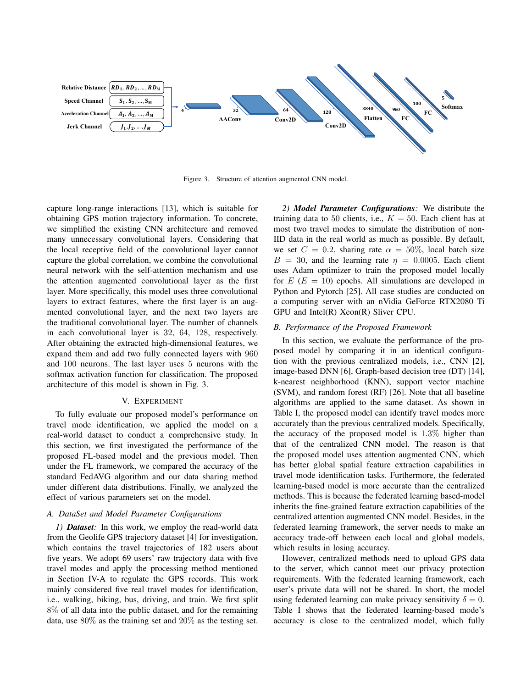

Figure 3. Structure of attention augmented CNN model.

capture long-range interactions [13], which is suitable for obtaining GPS motion trajectory information. To concrete, we simplified the existing CNN architecture and removed many unnecessary convolutional layers. Considering that the local receptive field of the convolutional layer cannot capture the global correlation, we combine the convolutional neural network with the self-attention mechanism and use the attention augmented convolutional layer as the first layer. More specifically, this model uses three convolutional layers to extract features, where the first layer is an augmented convolutional layer, and the next two layers are the traditional convolutional layer. The number of channels in each convolutional layer is 32, 64, 128, respectively. After obtaining the extracted high-dimensional features, we expand them and add two fully connected layers with 960 and 100 neurons. The last layer uses 5 neurons with the softmax activation function for classification. The proposed architecture of this model is shown in Fig. 3.

#### V. EXPERIMENT

To fully evaluate our proposed model's performance on travel mode identification, we applied the model on a real-world dataset to conduct a comprehensive study. In this section, we first investigated the performance of the proposed FL-based model and the previous model. Then under the FL framework, we compared the accuracy of the standard FedAVG algorithm and our data sharing method under different data distributions. Finally, we analyzed the effect of various parameters set on the model.

#### *A. DataSet and Model Parameter Configurations*

*1) Dataset:* In this work, we employ the read-world data from the Geolife GPS trajectory dataset [4] for investigation, which contains the travel trajectories of 182 users about five years. We adopt 69 users' raw trajectory data with five travel modes and apply the processing method mentioned in Section IV-A to regulate the GPS records. This work mainly considered five real travel modes for identification, i.e., walking, biking, bus, driving, and train. We first split 8% of all data into the public dataset, and for the remaining data, use 80% as the training set and 20% as the testing set.

*2) Model Parameter Configurations:* We distribute the training data to 50 clients, i.e.,  $K = 50$ . Each client has at most two travel modes to simulate the distribution of non-IID data in the real world as much as possible. By default, we set  $C = 0.2$ , sharing rate  $\alpha = 50\%$ , local batch size  $B = 30$ , and the learning rate  $\eta = 0.0005$ . Each client uses Adam optimizer to train the proposed model locally for  $E(E = 10)$  epochs. All simulations are developed in Python and Pytorch [25]. All case studies are conducted on a computing server with an nVidia GeForce RTX2080 Ti GPU and Intel(R) Xeon(R) Sliver CPU.

#### *B. Performance of the Proposed Framework*

In this section, we evaluate the performance of the proposed model by comparing it in an identical configuration with the previous centralized models, i.e., CNN [2], image-based DNN [6], Graph-based decision tree (DT) [14], k-nearest neighborhood (KNN), support vector machine (SVM), and random forest (RF) [26]. Note that all baseline algorithms are applied to the same dataset. As shown in Table I, the proposed model can identify travel modes more accurately than the previous centralized models. Specifically, the accuracy of the proposed model is 1.3% higher than that of the centralized CNN model. The reason is that the proposed model uses attention augmented CNN, which has better global spatial feature extraction capabilities in travel mode identification tasks. Furthermore, the federated learning-based model is more accurate than the centralized methods. This is because the federated learning based-model inherits the fine-grained feature extraction capabilities of the centralized attention augmented CNN model. Besides, in the federated learning framework, the server needs to make an accuracy trade-off between each local and global models, which results in losing accuracy.

However, centralized methods need to upload GPS data to the server, which cannot meet our privacy protection requirements. With the federated learning framework, each user's private data will not be shared. In short, the model using federated learning can make privacy sensitivity  $\delta = 0$ . Table I shows that the federated learning-based mode's accuracy is close to the centralized model, which fully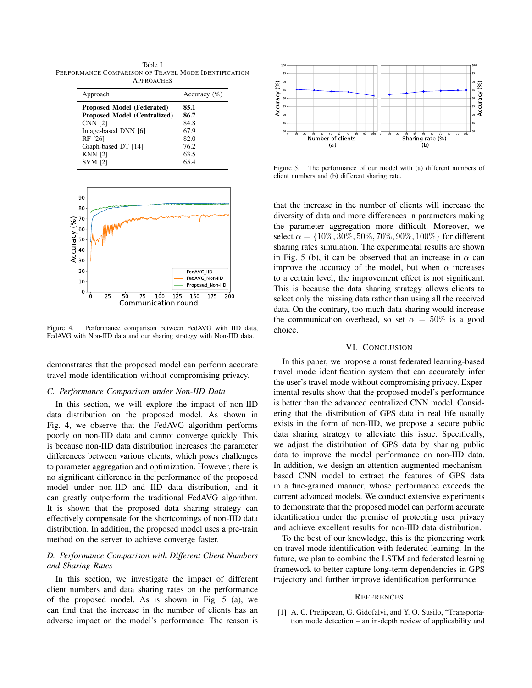Table I PERFORMANCE COMPARISON OF TRAVEL MODE IDENTIFICATION APPROACHES

| Approach                            | Accuracy $(\% )$ |
|-------------------------------------|------------------|
| <b>Proposed Model (Federated)</b>   | 85.1             |
| <b>Proposed Model (Centralized)</b> | 86.7             |
| <b>CNN [2]</b>                      | 84.8             |
| Image-based DNN [6]                 | 67.9             |
| RF [26]                             | 82.0             |
| Graph-based DT [14]                 | 76.2             |
| <b>KNN [2]</b>                      | 63.5             |
| <b>SVM [2]</b>                      | 65.4             |



Figure 4. Performance comparison between FedAVG with IID data, FedAVG with Non-IID data and our sharing strategy with Non-IID data.

demonstrates that the proposed model can perform accurate travel mode identification without compromising privacy.

#### *C. Performance Comparison under Non-IID Data*

In this section, we will explore the impact of non-IID data distribution on the proposed model. As shown in Fig. 4, we observe that the FedAVG algorithm performs poorly on non-IID data and cannot converge quickly. This is because non-IID data distribution increases the parameter differences between various clients, which poses challenges to parameter aggregation and optimization. However, there is no significant difference in the performance of the proposed model under non-IID and IID data distribution, and it can greatly outperform the traditional FedAVG algorithm. It is shown that the proposed data sharing strategy can effectively compensate for the shortcomings of non-IID data distribution. In addition, the proposed model uses a pre-train method on the server to achieve converge faster.

# *D. Performance Comparison with Different Client Numbers and Sharing Rates*

In this section, we investigate the impact of different client numbers and data sharing rates on the performance of the proposed model. As is shown in Fig. 5 (a), we can find that the increase in the number of clients has an adverse impact on the model's performance. The reason is



Figure 5. The performance of our model with (a) different numbers of client numbers and (b) different sharing rate.

that the increase in the number of clients will increase the diversity of data and more differences in parameters making the parameter aggregation more difficult. Moreover, we select  $\alpha = \{10\%, 30\%, 50\%, 70\%, 90\%, 100\%\}$  for different sharing rates simulation. The experimental results are shown in Fig. 5 (b), it can be observed that an increase in  $\alpha$  can improve the accuracy of the model, but when  $\alpha$  increases to a certain level, the improvement effect is not significant. This is because the data sharing strategy allows clients to select only the missing data rather than using all the received data. On the contrary, too much data sharing would increase the communication overhead, so set  $\alpha = 50\%$  is a good choice.

#### VI. CONCLUSION

In this paper, we propose a roust federated learning-based travel mode identification system that can accurately infer the user's travel mode without compromising privacy. Experimental results show that the proposed model's performance is better than the advanced centralized CNN model. Considering that the distribution of GPS data in real life usually exists in the form of non-IID, we propose a secure public data sharing strategy to alleviate this issue. Specifically, we adjust the distribution of GPS data by sharing public data to improve the model performance on non-IID data. In addition, we design an attention augmented mechanismbased CNN model to extract the features of GPS data in a fine-grained manner, whose performance exceeds the current advanced models. We conduct extensive experiments to demonstrate that the proposed model can perform accurate identification under the premise of protecting user privacy and achieve excellent results for non-IID data distribution.

To the best of our knowledge, this is the pioneering work on travel mode identification with federated learning. In the future, we plan to combine the LSTM and federated learning framework to better capture long-term dependencies in GPS trajectory and further improve identification performance.

### **REFERENCES**

[1] A. C. Prelipcean, G. Gidofalvi, and Y. O. Susilo, "Transportation mode detection – an in-depth review of applicability and